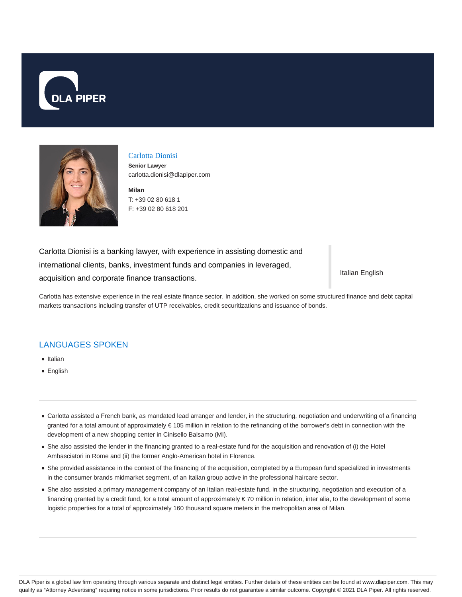



#### Carlotta Dionisi

**Senior Lawyer** carlotta.dionisi@dlapiper.com

**Milan** T: +39 02 80 618 1 F: +39 02 80 618 201

Carlotta Dionisi is a banking lawyer, with experience in assisting domestic and international clients, banks, investment funds and companies in leveraged, acquisition and corporate finance transactions.

Italian English

Carlotta has extensive experience in the real estate finance sector. In addition, she worked on some structured finance and debt capital markets transactions including transfer of UTP receivables, credit securitizations and issuance of bonds.

### LANGUAGES SPOKEN

- Italian
- English
- Carlotta assisted a French bank, as mandated lead arranger and lender, in the structuring, negotiation and underwriting of a financing granted for a total amount of approximately € 105 million in relation to the refinancing of the borrower's debt in connection with the development of a new shopping center in Cinisello Balsamo (MI).
- She also assisted the lender in the financing granted to a real-estate fund for the acquisition and renovation of (i) the Hotel Ambasciatori in Rome and (ii) the former Anglo-American hotel in Florence.
- She provided assistance in the context of the financing of the acquisition, completed by a European fund specialized in investments in the consumer brands midmarket segment, of an Italian group active in the professional haircare sector.
- She also assisted a primary management company of an Italian real-estate fund, in the structuring, negotiation and execution of a financing granted by a credit fund, for a total amount of approximately € 70 million in relation, inter alia, to the development of some logistic properties for a total of approximately 160 thousand square meters in the metropolitan area of Milan.